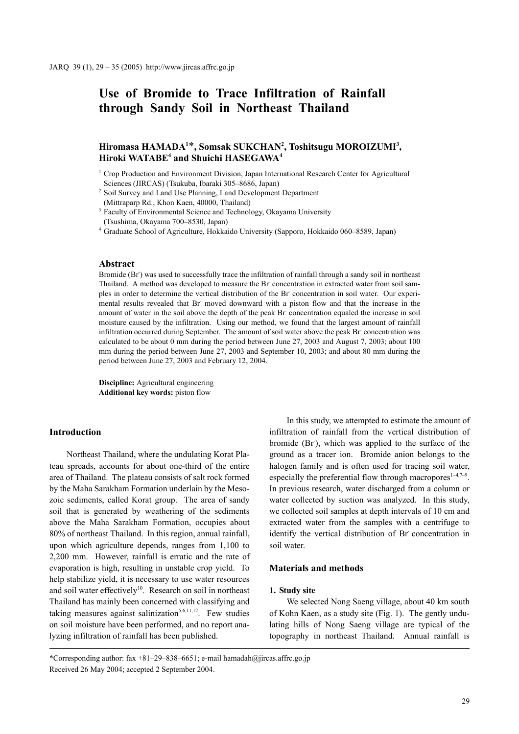# **Use of Bromide to Trace Infiltration of Rainfall through Sandy Soil in Northeast Thailand**

# Hiromasa HAMADA<sup>1\*</sup>, Somsak SUKCHAN<sup>2</sup>, Toshitsugu MOROIZUMI<sup>3</sup>, **Hiroki WATABE4 and Shuichi HASEGAWA4**

 $1$  Crop Production and Environment Division, Japan International Research Center for Agricultural Sciences (JIRCAS) (Tsukuba, Ibaraki 305–8686, Japan)

<sup>2</sup> Soil Survey and Land Use Planning, Land Development Department (Mittraparp Rd., Khon Kaen, 40000, Thailand)

<sup>3</sup> Faculty of Environmental Science and Technology, Okayama University (Tsushima, Okayama 700–8530, Japan)

<sup>4</sup> Graduate School of Agriculture, Hokkaido University (Sapporo, Hokkaido 060–8589, Japan)

## **Abstract**

Bromide (Br) was used to successfully trace the infiltration of rainfall through a sandy soil in northeast Thailand. A method was developed to measure the Br concentration in extracted water from soil samples in order to determine the vertical distribution of the Br concentration in soil water. Our experimental results revealed that Br moved downward with a piston flow and that the increase in the amount of water in the soil above the depth of the peak Br concentration equaled the increase in soil moisture caused by the infiltration. Using our method, we found that the largest amount of rainfall infiltration occurred during September. The amount of soil water above the peak Br- concentration was calculated to be about 0 mm during the period between June 27, 2003 and August 7, 2003; about 100 mm during the period between June 27, 2003 and September 10, 2003; and about 80 mm during the period between June 27, 2003 and February 12, 2004.

**Discipline:** Agricultural engineering **Additional key words:** piston flow

# **Introduction**

Northeast Thailand, where the undulating Korat Plateau spreads, accounts for about one-third of the entire area of Thailand. The plateau consists of salt rock formed by the Maha Sarakham Formation underlain by the Mesozoic sediments, called Korat group. The area of sandy soil that is generated by weathering of the sediments above the Maha Sarakham Formation, occupies about 80% of northeast Thailand. In this region, annual rainfall, upon which agriculture depends, ranges from 1,100 to 2,200 mm. However, rainfall is erratic and the rate of evaporation is high, resulting in unstable crop yield. To help stabilize yield, it is necessary to use water resources and soil water effectively<sup>10</sup>. Research on soil in northeast Thailand has mainly been concerned with classifying and taking measures against salinization<sup>5,6,11,12</sup>. Few studies on soil moisture have been performed, and no report analyzing infiltration of rainfall has been published.

In this study, we attempted to estimate the amount of infiltration of rainfall from the vertical distribution of bromide (Br), which was applied to the surface of the ground as a tracer ion. Bromide anion belongs to the halogen family and is often used for tracing soil water, especially the preferential flow through macropores<sup>1-4,7-9</sup>. In previous research, water discharged from a column or water collected by suction was analyzed. In this study, we collected soil samples at depth intervals of 10 cm and extracted water from the samples with a centrifuge to identify the vertical distribution of Br- concentration in soil water.

# **Materials and methods**

#### **1. Study site**

We selected Nong Saeng village, about 40 km south of Kohn Kaen, as a study site (Fig. 1). The gently undulating hills of Nong Saeng village are typical of the topography in northeast Thailand. Annual rainfall is

\*Corresponding author: fax +81–29–838–6651; e-mail hamadah@jircas.affrc.go.jp Received 26 May 2004; accepted 2 September 2004.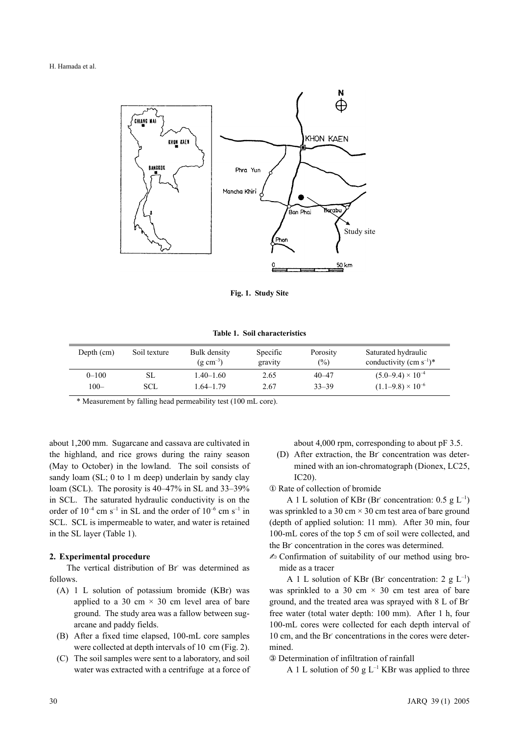H. Hamada et al.



**Fig. 1. Study Site**

**Table 1. Soil characteristics**

| Depth (cm) | Soil texture | Bulk density<br>$(g \text{ cm}^{-3})$ | Specific<br>gravity | Porosity<br>$\frac{1}{2}$ | Saturated hydraulic<br>conductivity (cm $s^{-1}$ )* |
|------------|--------------|---------------------------------------|---------------------|---------------------------|-----------------------------------------------------|
| $0 - 100$  | SL           | $1.40 - 1.60$                         | 2.65                | $40 - 47$                 | $(5.0-9.4) \times 10^{-4}$                          |
| $100 -$    | SCL          | 1.64–1.79                             | 2.67                | $33 - 39$                 | $(1.1-9.8) \times 10^{-6}$                          |

\* Measurement by falling head permeability test (100 mL core).

about 1,200 mm. Sugarcane and cassava are cultivated in the highland, and rice grows during the rainy season (May to October) in the lowland. The soil consists of sandy loam (SL; 0 to 1 m deep) underlain by sandy clay loam (SCL). The porosity is 40–47% in SL and 33–39% in SCL. The saturated hydraulic conductivity is on the order of  $10^{-4}$  cm s<sup>-1</sup> in SL and the order of  $10^{-6}$  cm s<sup>-1</sup> in SCL. SCL is impermeable to water, and water is retained in the SL layer (Table 1).

#### **2. Experimental procedure**

The vertical distribution of Br was determined as follows.

- (A) 1 L solution of potassium bromide (KBr) was applied to a 30 cm  $\times$  30 cm level area of bare ground. The study area was a fallow between sugarcane and paddy fields.
- (B) After a fixed time elapsed, 100-mL core samples were collected at depth intervals of 10 cm (Fig. 2).
- (C) The soil samples were sent to a laboratory, and soil water was extracted with a centrifuge at a force of

about 4,000 rpm, corresponding to about pF 3.5.

(D) After extraction, the Br concentration was determined with an ion-chromatograph (Dionex, LC25, IC20).

① Rate of collection of bromide

A 1 L solution of KBr (Br concentration:  $0.5 \text{ g L}^{-1}$ ) was sprinkled to a 30 cm  $\times$  30 cm test area of bare ground (depth of applied solution: 11 mm). After 30 min, four 100-mL cores of the top 5 cm of soil were collected, and the Br concentration in the cores was determined.

 $\triangle$  Confirmation of suitability of our method using bromide as a tracer

A 1 L solution of KBr (Br concentration: 2  $g L^{-1}$ ) was sprinkled to a 30 cm  $\times$  30 cm test area of bare ground, and the treated area was sprayed with 8 L of Brfree water (total water depth: 100 mm). After 1 h, four 100-mL cores were collected for each depth interval of 10 cm, and the Br concentrations in the cores were determined.

③ Determination of infiltration of rainfall

A 1 L solution of 50 g  $L^{-1}$  KBr was applied to three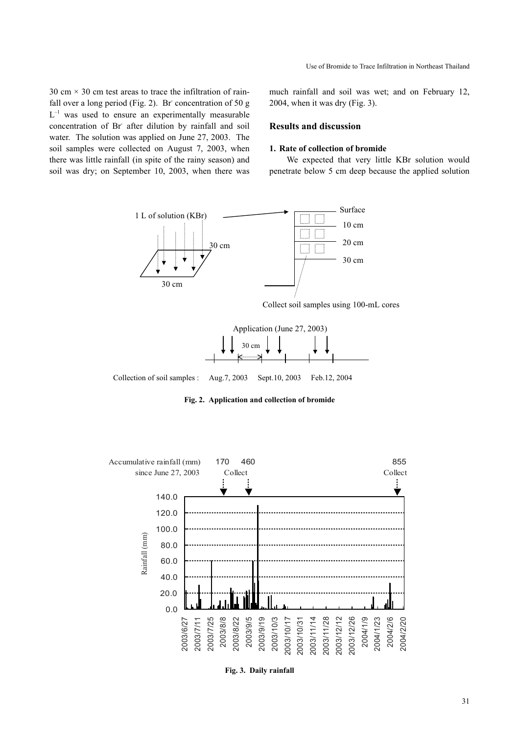Use of Bromide to Trace Infiltration in Northeast Thailand

30 cm  $\times$  30 cm test areas to trace the infiltration of rainfall over a long period (Fig. 2). Br concentration of 50 g  $L^{-1}$  was used to ensure an experimentally measurable concentration of Br- after dilution by rainfall and soil water. The solution was applied on June 27, 2003. The soil samples were collected on August 7, 2003, when there was little rainfall (in spite of the rainy season) and soil was dry; on September 10, 2003, when there was much rainfall and soil was wet; and on February 12, 2004, when it was dry (Fig. 3).

# **Results and discussion**

#### **1. Rate of collection of bromide**

We expected that very little KBr solution would penetrate below 5 cm deep because the applied solution



Collect soil samples using 100-mL cores



Collection of soil samples : Aug.7, 2003 Sept.10, 2003 Feb.12, 2004

**Fig. 2. Application and collection of bromide**



**Fig. 3. Daily rainfall**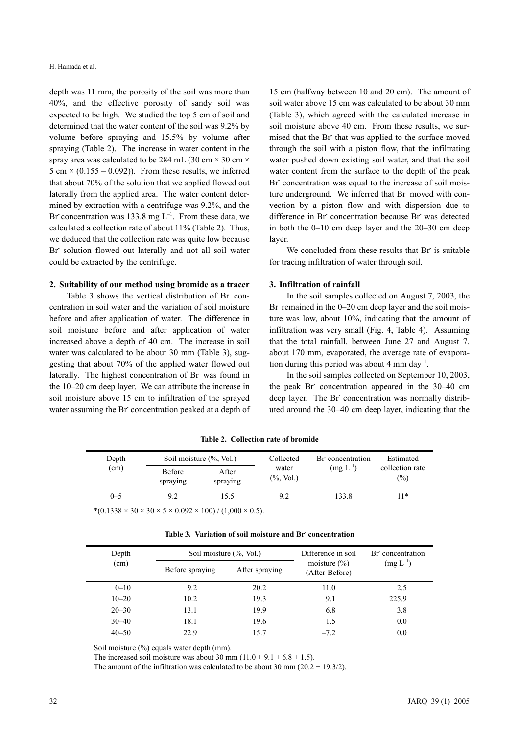depth was 11 mm, the porosity of the soil was more than 40%, and the effective porosity of sandy soil was expected to be high. We studied the top 5 cm of soil and determined that the water content of the soil was 9.2% by volume before spraying and 15.5% by volume after spraying (Table 2). The increase in water content in the spray area was calculated to be 284 mL (30 cm  $\times$  30 cm  $\times$ 5 cm  $\times$  (0.155 – 0.092)). From these results, we inferred that about 70% of the solution that we applied flowed out laterally from the applied area. The water content determined by extraction with a centrifuge was 9.2%, and the Br concentration was 133.8 mg  $L^{-1}$ . From these data, we calculated a collection rate of about 11% (Table 2). Thus, we deduced that the collection rate was quite low because Br- solution flowed out laterally and not all soil water could be extracted by the centrifuge.

# **2. Suitability of our method using bromide as a tracer**

Table 3 shows the vertical distribution of Br concentration in soil water and the variation of soil moisture before and after application of water. The difference in soil moisture before and after application of water increased above a depth of 40 cm. The increase in soil water was calculated to be about 30 mm (Table 3), suggesting that about 70% of the applied water flowed out laterally. The highest concentration of Br was found in the 10–20 cm deep layer. We can attribute the increase in soil moisture above 15 cm to infiltration of the sprayed water assuming the Br concentration peaked at a depth of

15 cm (halfway between 10 and 20 cm). The amount of soil water above 15 cm was calculated to be about 30 mm (Table 3), which agreed with the calculated increase in soil moisture above 40 cm. From these results, we surmised that the Br that was applied to the surface moved through the soil with a piston flow, that the infiltrating water pushed down existing soil water, and that the soil water content from the surface to the depth of the peak Br concentration was equal to the increase of soil moisture underground. We inferred that Br moved with convection by a piston flow and with dispersion due to difference in Br concentration because Br was detected in both the 0–10 cm deep layer and the 20–30 cm deep layer.

We concluded from these results that Br is suitable for tracing infiltration of water through soil.

# **3. Infiltration of rainfall**

In the soil samples collected on August 7, 2003, the Br remained in the 0–20 cm deep layer and the soil moisture was low, about 10%, indicating that the amount of infiltration was very small (Fig. 4, Table 4). Assuming that the total rainfall, between June 27 and August 7, about 170 mm, evaporated, the average rate of evaporation during this period was about 4 mm day<sup>-1</sup>.

In the soil samples collected on September 10, 2003, the peak Br concentration appeared in the 30–40 cm deep layer. The Br concentration was normally distributed around the 30–40 cm deep layer, indicating that the

| Depth<br>(cm) | Soil moisture (%, Vol.)   |                   | Collected              | Br concentration | Estimated                 |
|---------------|---------------------------|-------------------|------------------------|------------------|---------------------------|
|               | <b>Before</b><br>spraying | After<br>spraying | water<br>$(\%$ , Vol.) | $(mg L^{-1})$    | collection rate<br>$(\%)$ |
| $0 - 5$       | 9.2                       | 15.5              | 9.2                    | 133.8            | 11*                       |

**Table 2. Collection rate of bromide**

\*(0.1338 × 30 × 30 × 5 × 0.092 × 100) / (1,000 × 0.5).

| Depth<br>(cm) | Soil moisture (%, Vol.) |                | Difference in soil<br>moisture $(\% )$<br>(After-Before) | Br concentration<br>$(mg L^{-1})$ |
|---------------|-------------------------|----------------|----------------------------------------------------------|-----------------------------------|
|               | Before spraying         | After spraying |                                                          |                                   |
| $0 - 10$      | 9.2                     | 20.2           | 11.0                                                     | 2.5                               |
| $10 - 20$     | 10.2                    | 19.3           | 9.1                                                      | 225.9                             |
| $20 - 30$     | 13.1                    | 19.9           | 6.8                                                      | 3.8                               |
| $30 - 40$     | 18.1                    | 19.6           | 1.5                                                      | 0.0                               |
| $40 - 50$     | 22.9                    | 15.7           | $-7.2$                                                   | 0.0                               |

**Table 3. Variation of soil moisture and Br- concentration**

Soil moisture (%) equals water depth (mm).

The increased soil moisture was about 30 mm  $(11.0 + 9.1 + 6.8 + 1.5)$ .

The amount of the infiltration was calculated to be about 30 mm  $(20.2 + 19.3/2)$ .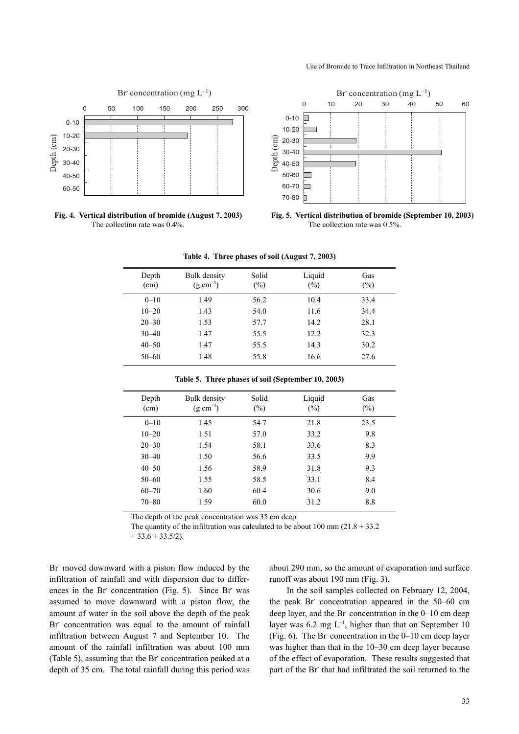#### Use of Bromide to Trace Infiltration in Northeast Thailand



**Fig. 4. Vertical distribution of bromide (August 7, 2003)** The collection rate was 0.4%.



**Fig. 5. Vertical distribution of bromide (September 10, 2003)** The collection rate was 0.5%.

| Depth<br>(cm) | Bulk density<br>$(g \text{ cm}^{-3})$ | Solid<br>$(\%)$ | Liquid<br>$(\%)$ | Gas<br>$(\%)$ |
|---------------|---------------------------------------|-----------------|------------------|---------------|
| $0 - 10$      | 1.49                                  | 56.2            | 10.4             | 33.4          |
| $10 - 20$     | 1.43                                  | 54.0            | 11.6             | 34.4          |
| $20 - 30$     | 1.53                                  | 57.7            | 14.2             | 28.1          |
| $30 - 40$     | 1.47                                  | 55.5            | 12.2             | 32.3          |
| $40 - 50$     | 1.47                                  | 55.5            | 14.3             | 30.2          |
| $50 - 60$     | 1.48                                  | 55.8            | 16.6             | 27.6          |

**Table 4. Three phases of soil (August 7, 2003)**

| Depth<br>(cm) | Bulk density<br>$(g \text{ cm}^{-3})$ | Solid<br>$(\%)$ | Liquid<br>$(\%)$ | Gas<br>$(\%)$ |
|---------------|---------------------------------------|-----------------|------------------|---------------|
| $0 - 10$      | 1.45                                  | 54.7            | 21.8             | 23.5          |
| $10 - 20$     | 1.51                                  | 57.0            | 33.2             | 9.8           |
| $20 - 30$     | 1.54                                  | 58.1            | 33.6             | 8.3           |
| $30 - 40$     | 1.50                                  | 56.6            | 33.5             | 9.9           |
| $40 - 50$     | 1.56                                  | 58.9            | 31.8             | 9.3           |
| $50 - 60$     | 1.55                                  | 58.5            | 33.1             | 8.4           |
| $60 - 70$     | 1.60                                  | 60.4            | 30.6             | 9.0           |
| $70 - 80$     | 1.59                                  | 60.0            | 31.2             | 8.8           |

**Table 5. Three phases of soil (September 10, 2003)**

The depth of the peak concentration was 35 cm deep.

The quantity of the infiltration was calculated to be about  $100 \text{ mm}$  ( $21.8 + 33.2$ )

 $+33.6 + 33.5/2$ .

Br moved downward with a piston flow induced by the infiltration of rainfall and with dispersion due to differences in the Br concentration (Fig. 5). Since Br was assumed to move downward with a piston flow, the amount of water in the soil above the depth of the peak Br concentration was equal to the amount of rainfall infiltration between August 7 and September 10. The amount of the rainfall infiltration was about 100 mm (Table 5), assuming that the Br concentration peaked at a depth of 35 cm. The total rainfall during this period was about 290 mm, so the amount of evaporation and surface runoff was about 190 mm (Fig. 3).

In the soil samples collected on February 12, 2004, the peak Br concentration appeared in the 50–60 cm deep layer, and the Br concentration in the 0–10 cm deep layer was 6.2 mg  $L^{-1}$ , higher than that on September 10  $(Fig. 6)$ . The Br concentration in the  $0-10$  cm deep layer was higher than that in the 10–30 cm deep layer because of the effect of evaporation. These results suggested that part of the Br that had infiltrated the soil returned to the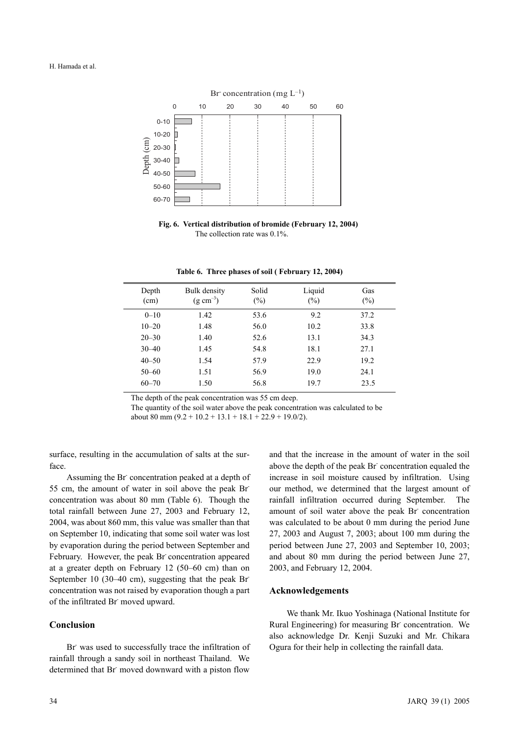

**Fig. 6. Vertical distribution of bromide (February 12, 2004)** The collection rate was 0.1%.

| Depth<br>(cm) | Bulk density<br>$(g \text{ cm}^{-3})$ | Solid<br>$(\%)$ | Liquid<br>$(\%)$ | Gas<br>(%) |  |
|---------------|---------------------------------------|-----------------|------------------|------------|--|
| $0 - 10$      | 1.42                                  | 53.6            | 9.2              | 37.2       |  |
| $10 - 20$     | 1.48                                  | 56.0            | 10.2             | 33.8       |  |
| $20 - 30$     | 1.40                                  | 52.6            | 13.1             | 34.3       |  |
| $30 - 40$     | 1.45                                  | 54.8            | 18.1             | 27.1       |  |
| $40 - 50$     | 1.54                                  | 57.9            | 22.9             | 19.2       |  |
| $50 - 60$     | 1.51                                  | 56.9            | 19.0             | 24.1       |  |
| $60 - 70$     | 1.50                                  | 56.8            | 19.7             | 23.5       |  |
|               |                                       |                 |                  |            |  |

**Table 6. Three phases of soil ( February 12, 2004)**

The depth of the peak concentration was 55 cm deep.

The quantity of the soil water above the peak concentration was calculated to be about 80 mm  $(9.2 + 10.2 + 13.1 + 18.1 + 22.9 + 19.0/2)$ .

surface, resulting in the accumulation of salts at the surface.

Assuming the Br concentration peaked at a depth of 55 cm, the amount of water in soil above the peak Brconcentration was about 80 mm (Table 6). Though the total rainfall between June 27, 2003 and February 12, 2004, was about 860 mm, this value was smaller than that on September 10, indicating that some soil water was lost by evaporation during the period between September and February. However, the peak Br concentration appeared at a greater depth on February 12 (50–60 cm) than on September 10 (30–40 cm), suggesting that the peak Brconcentration was not raised by evaporation though a part of the infiltrated Br- moved upward.

# **Conclusion**

Br was used to successfully trace the infiltration of rainfall through a sandy soil in northeast Thailand. We determined that Br moved downward with a piston flow

and that the increase in the amount of water in the soil above the depth of the peak Br concentration equaled the increase in soil moisture caused by infiltration. Using our method, we determined that the largest amount of rainfall infiltration occurred during September. The amount of soil water above the peak Br- concentration was calculated to be about 0 mm during the period June 27, 2003 and August 7, 2003; about 100 mm during the period between June 27, 2003 and September 10, 2003; and about 80 mm during the period between June 27, 2003, and February 12, 2004.

## **Acknowledgements**

We thank Mr. Ikuo Yoshinaga (National Institute for Rural Engineering) for measuring Br- concentration. We also acknowledge Dr. Kenji Suzuki and Mr. Chikara Ogura for their help in collecting the rainfall data.